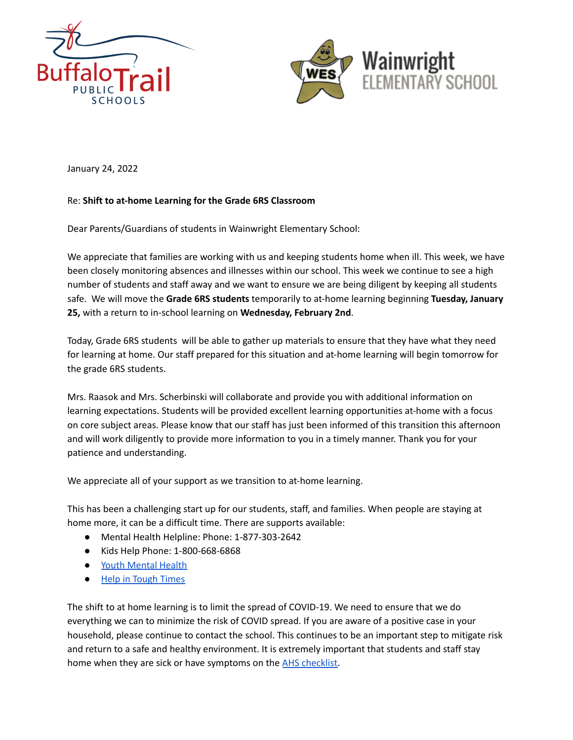



January 24, 2022

## Re: **Shift to at-home Learning for the Grade 6RS Classroom**

Dear Parents/Guardians of students in Wainwright Elementary School:

We appreciate that families are working with us and keeping students home when ill. This week, we have been closely monitoring absences and illnesses within our school. This week we continue to see a high number of students and staff away and we want to ensure we are being diligent by keeping all students safe. We will move the **Grade 6RS students** temporarily to at-home learning beginning **Tuesday, January 25,** with a return to in-school learning on **Wednesday, February 2nd**.

Today, Grade 6RS students will be able to gather up materials to ensure that they have what they need for learning at home. Our staff prepared for this situation and at-home learning will begin tomorrow for the grade 6RS students.

Mrs. Raasok and Mrs. Scherbinski will collaborate and provide you with additional information on learning expectations. Students will be provided excellent learning opportunities at-home with a focus on core subject areas. Please know that our staff has just been informed of this transition this afternoon and will work diligently to provide more information to you in a timely manner. Thank you for your patience and understanding.

We appreciate all of your support as we transition to at-home learning.

This has been a challenging start up for our students, staff, and families. When people are staying at home more, it can be a difficult time. There are supports available:

- Mental Health Helpline: Phone: 1-877-303-2642
- Kids Help Phone: 1-800-668-6868
- Youth [Mental](https://jack.org/resources/covidAB?fbclid=IwAR1knofuR-7p5JVl8CjRWrd-2F2wyfTNml1edToxA04VihkIcilmoUrbfDc) Health
- Help in [Tough](https://www.albertahealthservices.ca/amh/Page16759.aspx) Times

The shift to at home learning is to limit the spread of COVID-19. We need to ensure that we do everything we can to minimize the risk of COVID spread. If you are aware of a positive case in your household, please continue to contact the school. This continues to be an important step to mitigate risk and return to a safe and healthy environment. It is extremely important that students and staff stay home when they are sick or have symptoms on the AHS [checklist.](https://open.alberta.ca/dataset/56c020ed-1782-4c6c-bfdd-5af36754471f/resource/58957831-a4ab-45ff-9a8e-3c6af7c1622e/download/covid-19-information-alberta-health-daily-checklist-2021-09.pdf?fbclid=IwAR0a2CebxIStKlgHwWiR9YC0dqGm8pkBafTeDi6OMTutf3yMMY9szQ028IM)